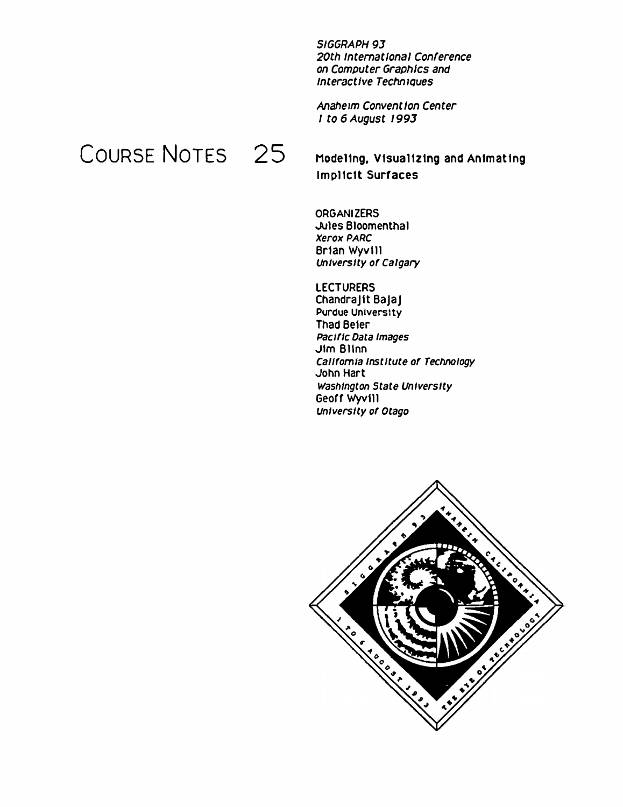SIGGRAPH 93 20th International Conference on Computer Graphics and **Interactive Techniques** 

Anaheim Convention Center 1 to 6 August 1993

# COURSE NOTES 25

Modeling, Visualizing and Animating **Implicit Surfaces** 

**ORGANIZERS** Jules Bloomenthal **Xerox PARC** Brian Wyvill University of Calgary

**LECTURERS** Chandralit Balal **Purdue University Thad Beier** Pacific Data Images Jim Blinn California Institute of Technology John Hart Washington State University Geoff Wyvill University of Otago

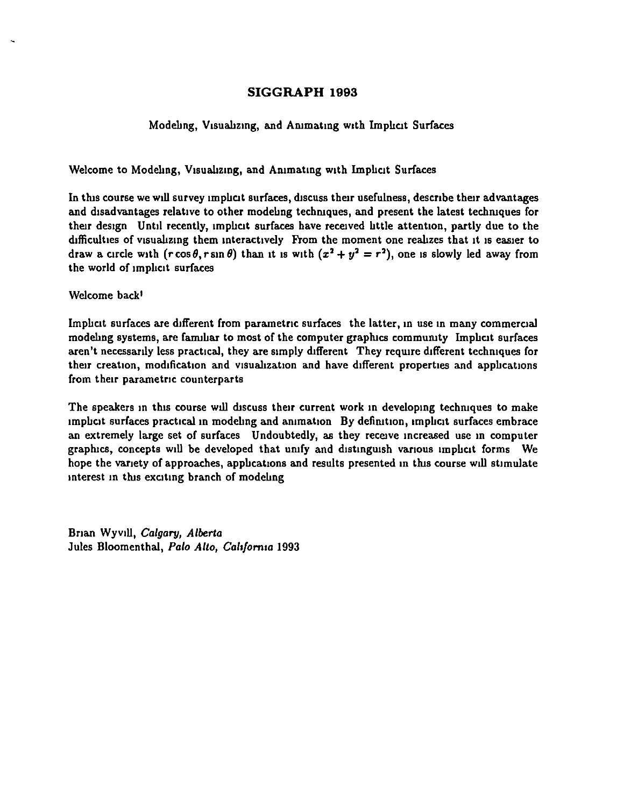#### Modeling, Visualizing, and Animating with Implicit Surfaces

Welcome to Modeling, Visualizing, and Animating with Implicit Surfaces

In this course we will survey implicit surfaces, discuss their usefulness, describe their advantages and disadvantages relative to other modeling techniques, and present the latest techniques for their design Until recently, implicit surfaces have received little attention, partly due to the difficulties of visualizing them interactively From the moment one realizes that it is easier to draw a circle with  $(r \cos \theta, r \sin \theta)$  than it is with  $(x^2 + y^2 = r^2)$ , one is slowly led away from the world of implicit surfaces

Welcome back'

Implicit surfaces are different from parametric surfaces the latter, in use in many commercial modeling systems, are familiar to most of the computer graphics community Implicit surfaces aren't necessarily less practical, they are simply different They require different techniques for their creation, modification and visualization and have different properties and applications from their parametric counterparts

The speakers in this course will discuss their current work in developing techniques to make implicit surfaces practical in modeling and animation By definition, implicit surfaces embrace an extremely large set of surfaces Undoubtedly, as they receive increased use in computer graphics, concepts will be developed that unify and distinguish various implicit forms We hope the variety of approaches, applications and results presented in this course will stimulate interest in this exciting branch of modeling

Brian Wyvill, *Calgary*, *Alberta* Jules Bloomenthal, *Palo Alto, Caltfomta* 1993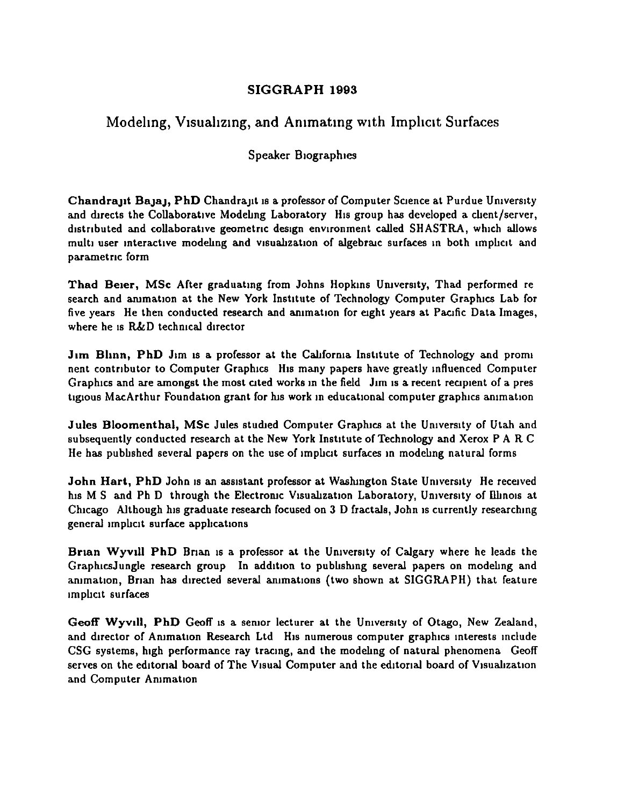## Modeling, Visualizing, and Animating with Implicit Surfaces

#### Speaker Biographies

Chandrant Bajaj, PhD Chandrant is a professor of Computer Science at Purdue University and directs the Collaborative Modeling Laboratory His group has developed a client/server, distributed and collaborative geometric design environment called SHASTRA, which allows multi user interactive modeling and visualization of algebraic surfaces in both implicit and parametric form

Thad Beier, MSc After graduating from Johns Hopkins University, Thad performed re search and animation at the New York Institute of Technology Computer Graphics Lab for five years He then conducted research and animation for eight years at Pacific Data Images, where he is R&D technical director

Jim Blinn, PhD Jim is a professor at the California Institute of Technology and promi nent contributor to Computer Graphics His many papers have greatly influenced Computer Graphics and are amongst the most cited works in the field Jim is a recent recipient of a pres tigious MacArthur Foundation grant for his work in educational computer graphics animation

Jules Bloomenthal, MSc Jules studied Computer Graphics at the University of Utah and subsequently conducted research at the New York Institute of Technology and Xerox P A R C He has published several papers on the use of implicit surfaces in modeling natural forms

John Hart, PhD John is an assistant professor at Washington State University He received his M S and Ph D through the Electronic Visualization Laboratory, University of Illinois at Chicago Although his graduate research focused on 3 D fractals, John is currently researching general implicit surface applications

Brian Wyvill PhD Brian is a professor at the University of Calgary where he leads the GraphicsJungle research group In addition to publishing several papers on modeling and animation, Brian has directed several animations (two shown at SIGGRAPH) that feature implicit surfaces

Geoff Wyvill, PhD Geoff is a senior lecturer at the University of Otago, New Zealand, and director of Animation Research Ltd His numerous computer graphics interests include CSG systems, high performance ray tracing, and the modeling of natural phenomena Geoff serves on the editorial board of The Visual Computer and the editorial board of Visualization and Computer Animation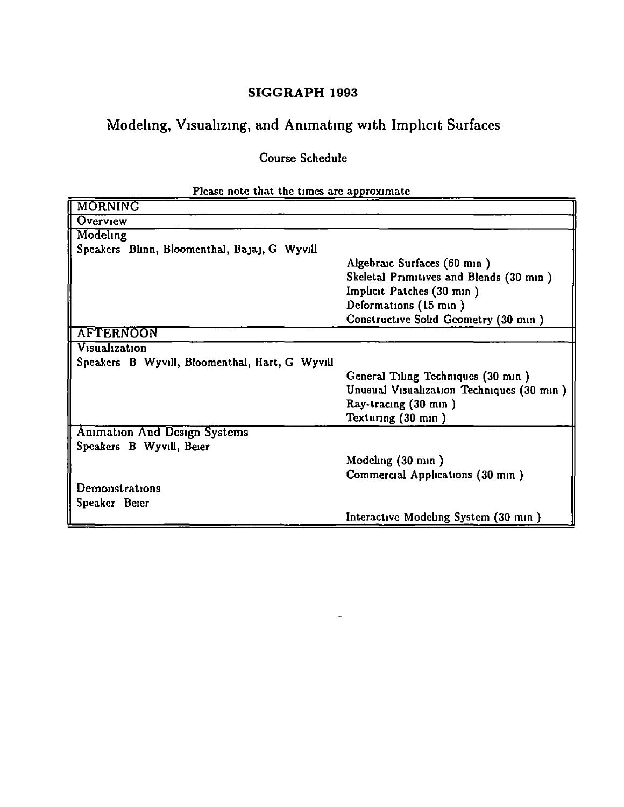## Modeling, Visualizing, and Animating with Implicit Surfaces

Course Schedule

| г каза посе ткат тке тика аге арргодинате      |                                           |
|------------------------------------------------|-------------------------------------------|
| <b>MORNING</b>                                 |                                           |
| Overview                                       |                                           |
| Modeling                                       |                                           |
| Speakers Blinn, Bloomenthal, Bajaj, G Wyvill   |                                           |
|                                                | Algebraic Surfaces (60 min)               |
|                                                | Skeletal Primitives and Blends (30 min)   |
|                                                | Implicit Patches (30 min)                 |
|                                                | Deformations (15 min)                     |
|                                                | Constructive Solid Geometry (30 min)      |
| <b>AFTERNOON</b>                               |                                           |
| Visualization                                  |                                           |
| Speakers B Wyvill, Bloomenthal, Hart, G Wyvill |                                           |
|                                                | General Tiling Techniques (30 min)        |
|                                                | Unusual Visualization Techniques (30 min) |
|                                                | Ray-tracing (30 min)                      |
|                                                | Texturing (30 min)                        |
| <b>Animation And Design Systems</b>            |                                           |
| Speakers B Wyvill, Beier                       |                                           |
|                                                | Modeling (30 min)                         |
|                                                | Commercial Applications (30 min)          |
| Demonstrations                                 |                                           |
| Speaker Beier                                  |                                           |
|                                                | Interactive Modeling System (30 min)      |

### Please note that the times are annoyimate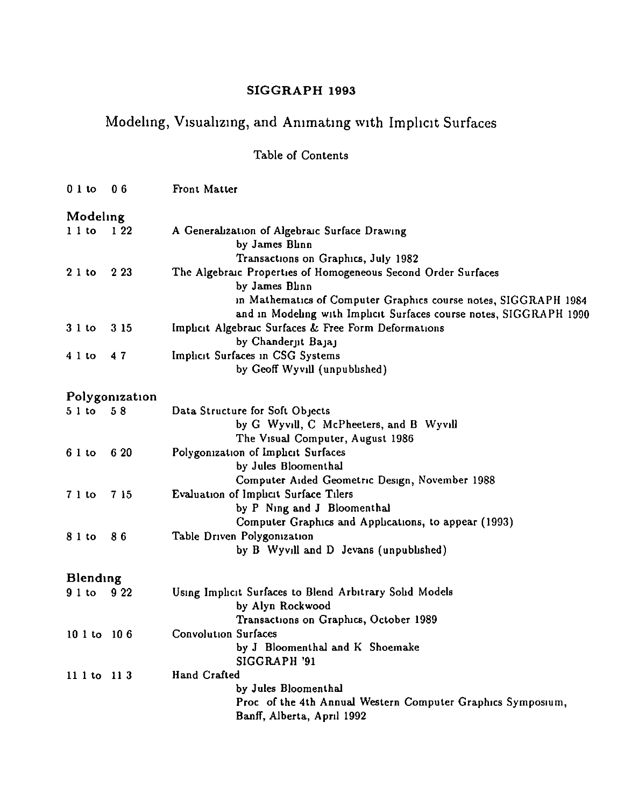## Modeling, Visualizing, and Animating with Implicit Surfaces

## Table of Contents

| $0l$ to          | 06             | Front Matter                                                                                                                                                                                                             |
|------------------|----------------|--------------------------------------------------------------------------------------------------------------------------------------------------------------------------------------------------------------------------|
| Modeling         |                |                                                                                                                                                                                                                          |
| $11$ to          | 122            | A Generalization of Algebraic Surface Drawing<br>by James Blinn<br>Transactions on Graphics, July 1982                                                                                                                   |
| 21 to            | 2 2 3          | The Algebraic Properties of Homogeneous Second Order Surfaces<br>by James Blinn<br>in Mathematics of Computer Graphics course notes, SIGGRAPH 1984<br>and in Modeling with Implicit Surfaces course notes, SIGGRAPH 1990 |
| 31 <sub>to</sub> | 3 15           | Implicit Algebraic Surfaces & Free Form Deformations<br>by Chanderjit Bajaj                                                                                                                                              |
| $41$ to          | 47             | Implicit Surfaces in CSG Systems<br>by Geoff Wyvill (unpublished)                                                                                                                                                        |
|                  | Polygonization |                                                                                                                                                                                                                          |
| 51 to            | 58             | Data Structure for Soft Objects<br>by G Wyvill, C McPheeters, and B Wyvill<br>The Visual Computer, August 1986                                                                                                           |
| $61$ to          | 6 20           | Polygonization of Implicit Surfaces<br>by Jules Bloomenthal<br>Computer Aided Geometric Design, November 1988                                                                                                            |
| 71 <sub>to</sub> | 7 15           | Evaluation of Imphet Surface Tilers<br>by P Ning and J Bloomenthal<br>Computer Graphics and Applications, to appear (1993)                                                                                               |
| 8 1 to           | 86             | Table Driven Polygonization<br>by B Wyvill and D Jevans (unpublished)                                                                                                                                                    |
| Blending         |                |                                                                                                                                                                                                                          |
| $91$ to          | 9 2 2          | Using Implicit Surfaces to Blend Arbitrary Solid Models<br>by Alyn Rockwood<br>Transactions on Graphics, October 1989                                                                                                    |
| 10 1 to 10 6     |                | <b>Convolution Surfaces</b><br>by J Bloomenthal and K Shoemake<br>SIGGRAPH '91                                                                                                                                           |
| $1111$ to $113$  |                | Hand Crafted<br>by Jules Bloomenthal<br>Proc of the 4th Annual Western Computer Graphics Symposium,<br>Banff, Alberta, April 1992                                                                                        |